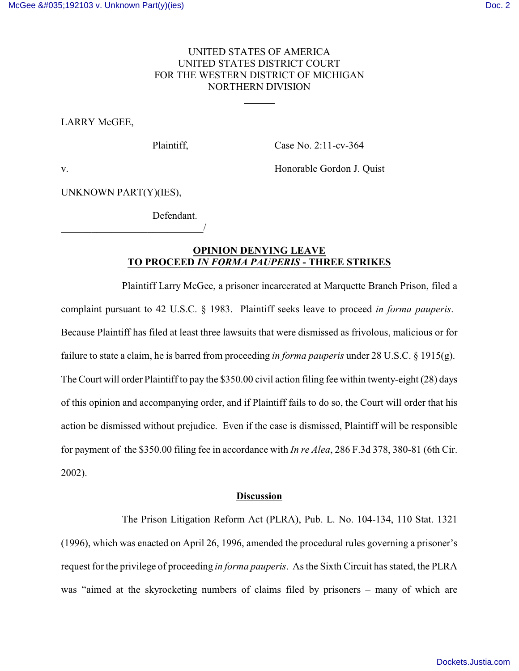## UNITED STATES OF AMERICA UNITED STATES DISTRICT COURT FOR THE WESTERN DISTRICT OF MICHIGAN NORTHERN DIVISION

 $\overline{a}$ 

# LARRY McGEE,

Plaintiff, Case No. 2:11-cv-364

v. **Example Gordon J. Quist** Electron and Structure Honorable Gordon J. Quist

UNKNOWN PART(Y)(IES),

\_\_\_\_\_\_\_\_\_\_\_\_\_\_\_\_\_\_\_\_\_\_\_\_\_\_\_\_/

Defendant.

## **OPINION DENYING LEAVE TO PROCEED** *IN FORMA PAUPERIS* **- THREE STRIKES**

Plaintiff Larry McGee, a prisoner incarcerated at Marquette Branch Prison, filed a complaint pursuant to 42 U.S.C. § 1983. Plaintiff seeks leave to proceed *in forma pauperis*. Because Plaintiff has filed at least three lawsuits that were dismissed as frivolous, malicious or for failure to state a claim, he is barred from proceeding *in forma pauperis* under 28 U.S.C. § 1915(g). The Court will order Plaintiff to pay the \$350.00 civil action filing fee within twenty-eight (28) days of this opinion and accompanying order, and if Plaintiff fails to do so, the Court will order that his action be dismissed without prejudice. Even if the case is dismissed, Plaintiff will be responsible for payment of the \$350.00 filing fee in accordance with *In re Alea*, 286 F.3d 378, 380-81 (6th Cir. 2002).

#### **Discussion**

The Prison Litigation Reform Act (PLRA), Pub. L. No. 104-134, 110 Stat. 1321 (1996), which was enacted on April 26, 1996, amended the procedural rules governing a prisoner's request for the privilege of proceeding *in forma pauperis*. As the Sixth Circuit has stated, the PLRA was "aimed at the skyrocketing numbers of claims filed by prisoners – many of which are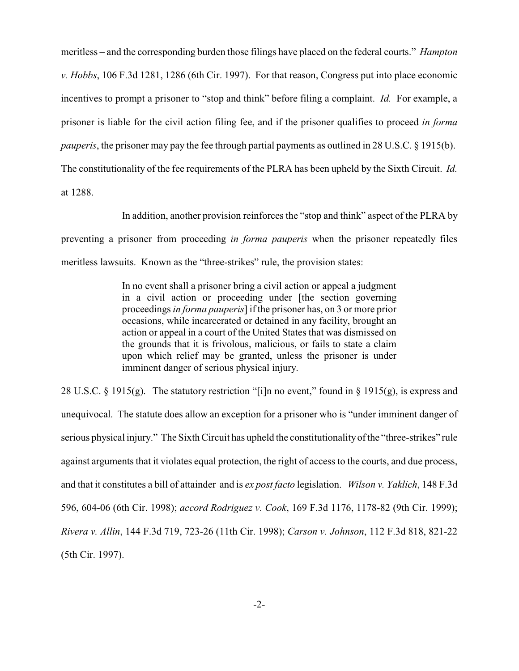meritless – and the corresponding burden those filings have placed on the federal courts." *Hampton v. Hobbs*, 106 F.3d 1281, 1286 (6th Cir. 1997). For that reason, Congress put into place economic incentives to prompt a prisoner to "stop and think" before filing a complaint. *Id.* For example, a prisoner is liable for the civil action filing fee, and if the prisoner qualifies to proceed *in forma pauperis*, the prisoner may pay the fee through partial payments as outlined in 28 U.S.C. § 1915(b). The constitutionality of the fee requirements of the PLRA has been upheld by the Sixth Circuit. *Id.* at 1288.

In addition, another provision reinforces the "stop and think" aspect of the PLRA by preventing a prisoner from proceeding *in forma pauperis* when the prisoner repeatedly files meritless lawsuits. Known as the "three-strikes" rule, the provision states:

> In no event shall a prisoner bring a civil action or appeal a judgment in a civil action or proceeding under [the section governing proceedings *in forma pauperis*] if the prisoner has, on 3 or more prior occasions, while incarcerated or detained in any facility, brought an action or appeal in a court of the United States that was dismissed on the grounds that it is frivolous, malicious, or fails to state a claim upon which relief may be granted, unless the prisoner is under imminent danger of serious physical injury.

28 U.S.C. § 1915(g). The statutory restriction "[i]n no event," found in § 1915(g), is express and unequivocal. The statute does allow an exception for a prisoner who is "under imminent danger of serious physical injury." The Sixth Circuit has upheld the constitutionalityof the "three-strikes" rule against arguments that it violates equal protection, the right of access to the courts, and due process, and that it constitutes a bill of attainder and is *ex post facto* legislation. *Wilson v. Yaklich*, 148 F.3d 596, 604-06 (6th Cir. 1998); *accord Rodriguez v. Cook*, 169 F.3d 1176, 1178-82 (9th Cir. 1999); *Rivera v. Allin*, 144 F.3d 719, 723-26 (11th Cir. 1998); *Carson v. Johnson*, 112 F.3d 818, 821-22 (5th Cir. 1997).